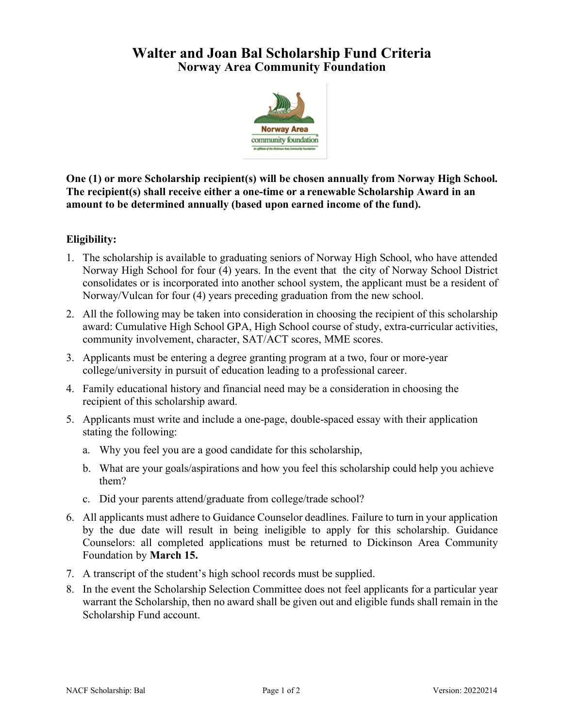## **Walter and Joan Bal Scholarship Fund Criteria Norway Area Community Foundation**



**One (1) or more Scholarship recipient(s) will be chosen annually from Norway High School. The recipient(s) shall receive either a one-time or a renewable Scholarship Award in an amount to be determined annually (based upon earned income of the fund).**

## **Eligibility:**

- 1. The scholarship is available to graduating seniors of Norway High School, who have attended Norway High School for four (4) years. In the event that the city of Norway School District consolidates or is incorporated into another school system, the applicant must be a resident of Norway/Vulcan for four (4) years preceding graduation from the new school.
- 2. All the following may be taken into consideration in choosing the recipient of this scholarship award: Cumulative High School GPA, High School course of study, extra-curricular activities, community involvement, character, SAT/ACT scores, MME scores.
- 3. Applicants must be entering a degree granting program at a two, four or more-year college/university in pursuit of education leading to a professional career.
- 4. Family educational history and financial need may be a consideration in choosing the recipient of this scholarship award.
- 5. Applicants must write and include a one-page, double-spaced essay with their application stating the following:
	- a. Why you feel you are a good candidate for this scholarship,
	- b. What are your goals/aspirations and how you feel this scholarship could help you achieve them?
	- c. Did your parents attend/graduate from college/trade school?
- 6. All applicants must adhere to Guidance Counselor deadlines. Failure to turn in your application by the due date will result in being ineligible to apply for this scholarship. Guidance Counselors: all completed applications must be returned to Dickinson Area Community Foundation by **March 15.**
- 7. A transcript of the student's high school records must be supplied.
- 8. In the event the Scholarship Selection Committee does not feel applicants for a particular year warrant the Scholarship, then no award shall be given out and eligible funds shall remain in the Scholarship Fund account.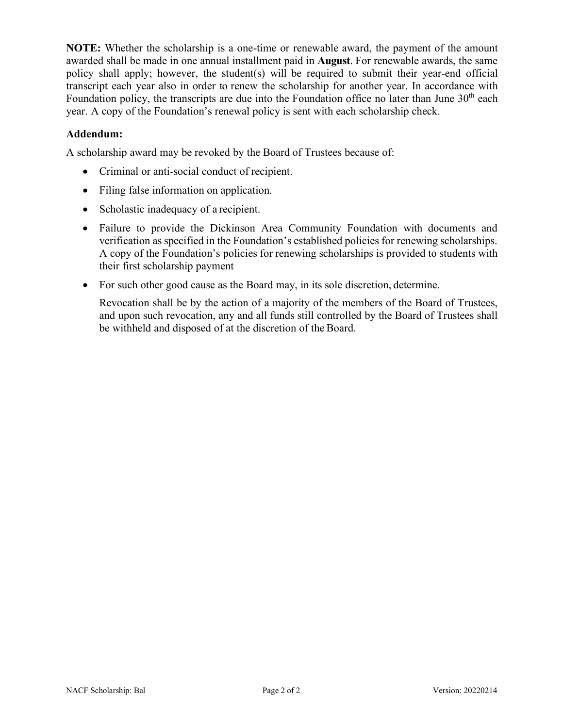**NOTE:** Whether the scholarship is a one-time or renewable award, the payment of the amount awarded shall be made in one annual installment paid in **August**. For renewable awards, the same policy shall apply; however, the student(s) will be required to submit their year-end official transcript each year also in order to renew the scholarship for another year. In accordance with Foundation policy, the transcripts are due into the Foundation office no later than June  $30<sup>th</sup>$  each year. A copy of the Foundation's renewal policy is sent with each scholarship check.

## **Addendum:**

A scholarship award may be revoked by the Board of Trustees because of:

- Criminal or anti-social conduct of recipient.
- Filing false information on application.
- Scholastic inadequacy of a recipient.
- Failure to provide the Dickinson Area Community Foundation with documents and verification as specified in the Foundation's established policies for renewing scholarships. A copy of the Foundation's policies for renewing scholarships is provided to students with their first scholarship payment
- For such other good cause as the Board may, in its sole discretion, determine.

Revocation shall be by the action of a majority of the members of the Board of Trustees, and upon such revocation, any and all funds still controlled by the Board of Trustees shall be withheld and disposed of at the discretion of the Board.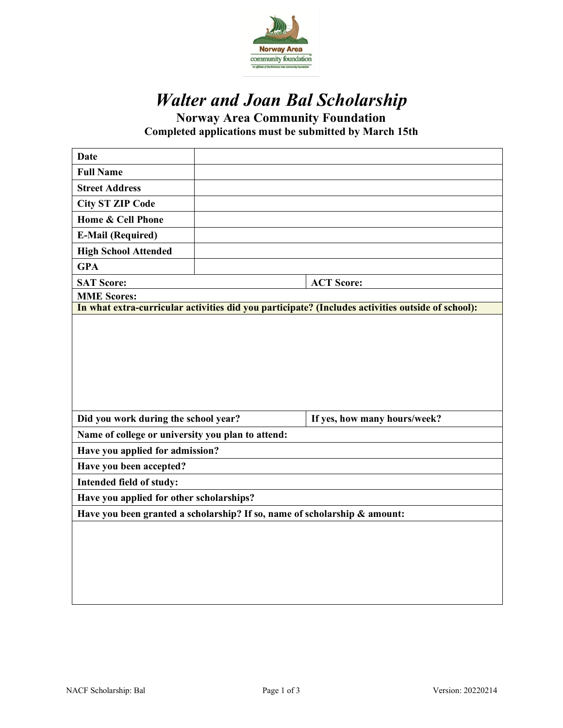

# *Walter and Joan Bal Scholarship*

**Norway Area Community Foundation** 

**Completed applications must be submitted by March 15th**

| <b>Full Name</b><br><b>Street Address</b><br><b>City ST ZIP Code</b><br>Home & Cell Phone<br><b>E-Mail (Required)</b><br><b>High School Attended</b><br><b>GPA</b><br><b>SAT Score:</b><br><b>ACT Score:</b><br><b>MME Scores:</b><br>In what extra-curricular activities did you participate? (Includes activities outside of school):<br>Did you work during the school year?<br>If yes, how many hours/week?<br>Name of college or university you plan to attend:<br>Have you applied for admission?<br>Have you been accepted?<br>Intended field of study:<br>Have you applied for other scholarships?<br>Have you been granted a scholarship? If so, name of scholarship & amount: |  |  |  |  |  |
|-----------------------------------------------------------------------------------------------------------------------------------------------------------------------------------------------------------------------------------------------------------------------------------------------------------------------------------------------------------------------------------------------------------------------------------------------------------------------------------------------------------------------------------------------------------------------------------------------------------------------------------------------------------------------------------------|--|--|--|--|--|
|                                                                                                                                                                                                                                                                                                                                                                                                                                                                                                                                                                                                                                                                                         |  |  |  |  |  |
|                                                                                                                                                                                                                                                                                                                                                                                                                                                                                                                                                                                                                                                                                         |  |  |  |  |  |
|                                                                                                                                                                                                                                                                                                                                                                                                                                                                                                                                                                                                                                                                                         |  |  |  |  |  |
|                                                                                                                                                                                                                                                                                                                                                                                                                                                                                                                                                                                                                                                                                         |  |  |  |  |  |
|                                                                                                                                                                                                                                                                                                                                                                                                                                                                                                                                                                                                                                                                                         |  |  |  |  |  |
|                                                                                                                                                                                                                                                                                                                                                                                                                                                                                                                                                                                                                                                                                         |  |  |  |  |  |
|                                                                                                                                                                                                                                                                                                                                                                                                                                                                                                                                                                                                                                                                                         |  |  |  |  |  |
|                                                                                                                                                                                                                                                                                                                                                                                                                                                                                                                                                                                                                                                                                         |  |  |  |  |  |
|                                                                                                                                                                                                                                                                                                                                                                                                                                                                                                                                                                                                                                                                                         |  |  |  |  |  |
|                                                                                                                                                                                                                                                                                                                                                                                                                                                                                                                                                                                                                                                                                         |  |  |  |  |  |
|                                                                                                                                                                                                                                                                                                                                                                                                                                                                                                                                                                                                                                                                                         |  |  |  |  |  |
|                                                                                                                                                                                                                                                                                                                                                                                                                                                                                                                                                                                                                                                                                         |  |  |  |  |  |
|                                                                                                                                                                                                                                                                                                                                                                                                                                                                                                                                                                                                                                                                                         |  |  |  |  |  |
|                                                                                                                                                                                                                                                                                                                                                                                                                                                                                                                                                                                                                                                                                         |  |  |  |  |  |
|                                                                                                                                                                                                                                                                                                                                                                                                                                                                                                                                                                                                                                                                                         |  |  |  |  |  |
|                                                                                                                                                                                                                                                                                                                                                                                                                                                                                                                                                                                                                                                                                         |  |  |  |  |  |
|                                                                                                                                                                                                                                                                                                                                                                                                                                                                                                                                                                                                                                                                                         |  |  |  |  |  |
|                                                                                                                                                                                                                                                                                                                                                                                                                                                                                                                                                                                                                                                                                         |  |  |  |  |  |
|                                                                                                                                                                                                                                                                                                                                                                                                                                                                                                                                                                                                                                                                                         |  |  |  |  |  |
|                                                                                                                                                                                                                                                                                                                                                                                                                                                                                                                                                                                                                                                                                         |  |  |  |  |  |
|                                                                                                                                                                                                                                                                                                                                                                                                                                                                                                                                                                                                                                                                                         |  |  |  |  |  |
|                                                                                                                                                                                                                                                                                                                                                                                                                                                                                                                                                                                                                                                                                         |  |  |  |  |  |
|                                                                                                                                                                                                                                                                                                                                                                                                                                                                                                                                                                                                                                                                                         |  |  |  |  |  |
|                                                                                                                                                                                                                                                                                                                                                                                                                                                                                                                                                                                                                                                                                         |  |  |  |  |  |
|                                                                                                                                                                                                                                                                                                                                                                                                                                                                                                                                                                                                                                                                                         |  |  |  |  |  |
|                                                                                                                                                                                                                                                                                                                                                                                                                                                                                                                                                                                                                                                                                         |  |  |  |  |  |
|                                                                                                                                                                                                                                                                                                                                                                                                                                                                                                                                                                                                                                                                                         |  |  |  |  |  |
|                                                                                                                                                                                                                                                                                                                                                                                                                                                                                                                                                                                                                                                                                         |  |  |  |  |  |
|                                                                                                                                                                                                                                                                                                                                                                                                                                                                                                                                                                                                                                                                                         |  |  |  |  |  |
|                                                                                                                                                                                                                                                                                                                                                                                                                                                                                                                                                                                                                                                                                         |  |  |  |  |  |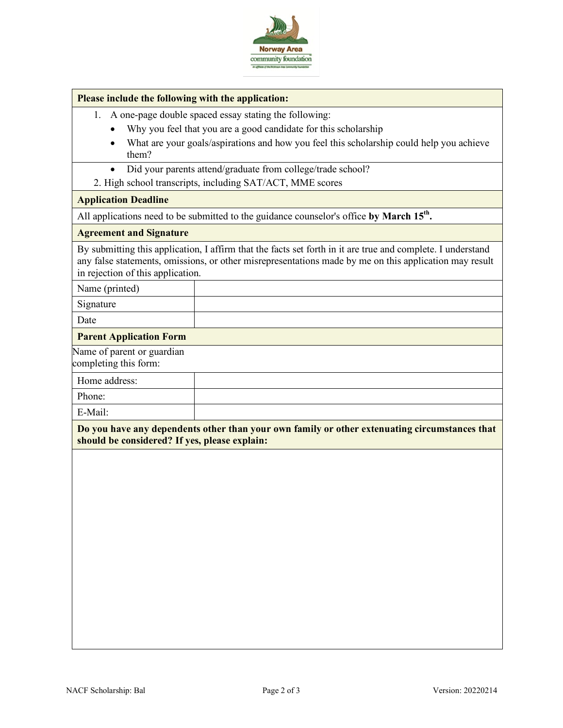

#### **Please include the following with the application:**

- 1. A one-page double spaced essay stating the following:
	- Why you feel that you are a good candidate for this scholarship
	- What are your goals/aspirations and how you feel this scholarship could help you achieve them?
	- Did your parents attend/graduate from college/trade school?
- 2. High school transcripts, including SAT/ACT, MME scores

#### **Application Deadline**

All applications need to be submitted to the guidance counselor's office by March 15<sup>th</sup>.

#### **Agreement and Signature**

By submitting this application, I affirm that the facts set forth in it are true and complete. I understand any false statements, omissions, or other misrepresentations made by me on this application may result in rejection of this application.

Name (printed)

Signature

Date

#### **Parent Application Form**

Name of parent or guardian completing this form:

| ັ             |  |
|---------------|--|
| Home address: |  |
| Phone:        |  |
| E-Mail:       |  |

**Do you have any dependents other than your own family or other extenuating circumstances that should be considered? If yes, please explain:**